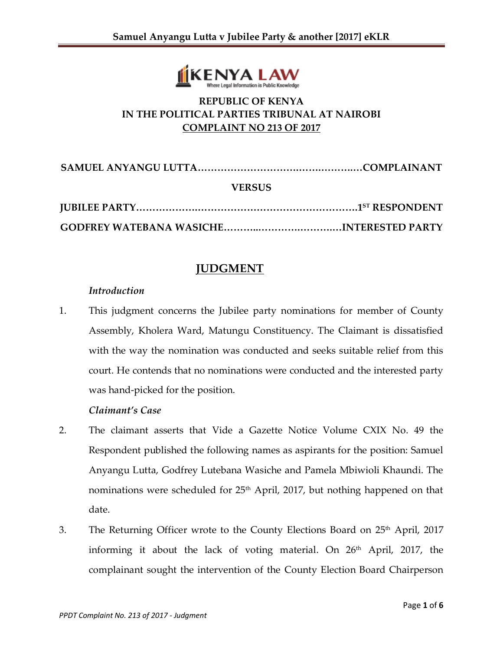

# **REPUBLIC OF KENYA IN THE POLITICAL PARTIES TRIBUNAL AT NAIROBI COMPLAINT NO 213 OF 2017**

| <b>VERSUS</b> |  |
|---------------|--|
|               |  |
|               |  |

# **JUDGMENT**

### *Introduction*

1. This judgment concerns the Jubilee party nominations for member of County Assembly, Kholera Ward, Matungu Constituency. The Claimant is dissatisfied with the way the nomination was conducted and seeks suitable relief from this court. He contends that no nominations were conducted and the interested party was hand-picked for the position.

### *Claimant's Case*

- 2. The claimant asserts that Vide a Gazette Notice Volume CXIX No. 49 the Respondent published the following names as aspirants for the position: Samuel Anyangu Lutta, Godfrey Lutebana Wasiche and Pamela Mbiwioli Khaundi. The nominations were scheduled for 25<sup>th</sup> April, 2017, but nothing happened on that date.
- 3. The Returning Officer wrote to the County Elections Board on 25<sup>th</sup> April, 2017 informing it about the lack of voting material. On 26th April, 2017, the complainant sought the intervention of the County Election Board Chairperson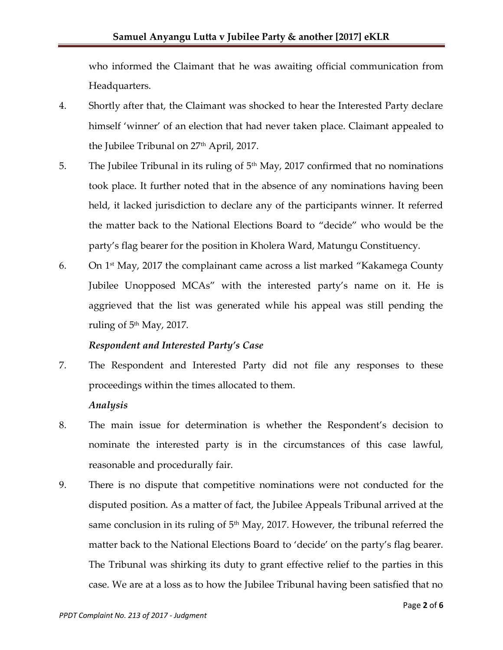who informed the Claimant that he was awaiting official communication from Headquarters.

- 4. Shortly after that, the Claimant was shocked to hear the Interested Party declare himself 'winner' of an election that had never taken place. Claimant appealed to the Jubilee Tribunal on 27<sup>th</sup> April, 2017.
- 5. The Jubilee Tribunal in its ruling of  $5<sup>th</sup>$  May, 2017 confirmed that no nominations took place. It further noted that in the absence of any nominations having been held, it lacked jurisdiction to declare any of the participants winner. It referred the matter back to the National Elections Board to 'decide' who would be the party's flag bearer for the position in Kholera Ward, Matungu Constituency.
- 6. On 1st May, 2017 the complainant came across a list marked 'Kakamega County Jubilee Unopposed MCAs' with the interested party's name on it. He is aggrieved that the list was generated while his appeal was still pending the ruling of  $5<sup>th</sup>$  May, 2017.

### *Respondent and Interested Party's Case*

7. The Respondent and Interested Party did not file any responses to these proceedings within the times allocated to them.

### *Analysis*

- 8. The main issue for determination is whether the Respondent's decision to nominate the interested party is in the circumstances of this case lawful, reasonable and procedurally fair.
- 9. There is no dispute that competitive nominations were not conducted for the disputed position. As a matter of fact, the Jubilee Appeals Tribunal arrived at the same conclusion in its ruling of  $5<sup>th</sup>$  May, 2017. However, the tribunal referred the matter back to the National Elections Board to 'decide' on the party's flag bearer. The Tribunal was shirking its duty to grant effective relief to the parties in this case. We are at a loss as to how the Jubilee Tribunal having been satisfied that no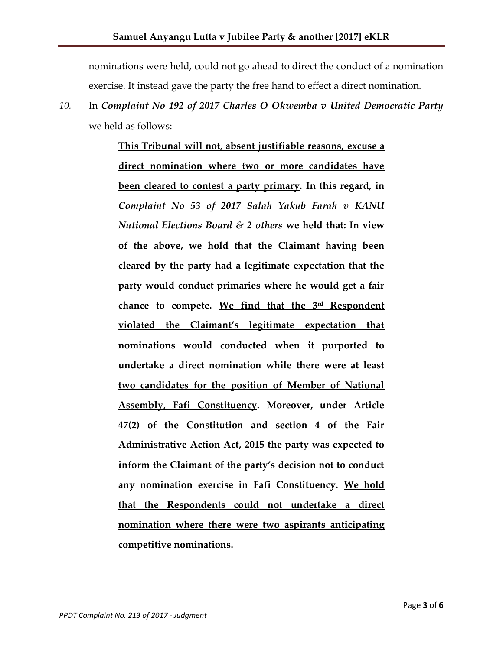nominations were held, could not go ahead to direct the conduct of a nomination exercise. It instead gave the party the free hand to effect a direct nomination.

*10.* In *Complaint No 192 of 2017 Charles O Okwemba v United Democratic Party*  we held as follows:

> **This Tribunal will not, absent justifiable reasons, excuse a direct nomination where two or more candidates have been cleared to contest a party primary. In this regard, in**  *Complaint No 53 of 2017 Salah Yakub Farah v KANU National Elections Board & 2 others* **we held that: In view of the above, we hold that the Claimant having been cleared by the party had a legitimate expectation that the party would conduct primaries where he would get a fair chance to compete. We find that the 3rd Respondent violated the Claimant's legitimate expectation that nominations would conducted when it purported to undertake a direct nomination while there were at least two candidates for the position of Member of National Assembly, Fafi Constituency. Moreover, under Article 47(2) of the Constitution and section 4 of the Fair Administrative Action Act, 2015 the party was expected to inform the Claimant of the party's decision not to conduct any nomination exercise in Fafi Constituency. We hold that the Respondents could not undertake a direct nomination where there were two aspirants anticipating competitive nominations.**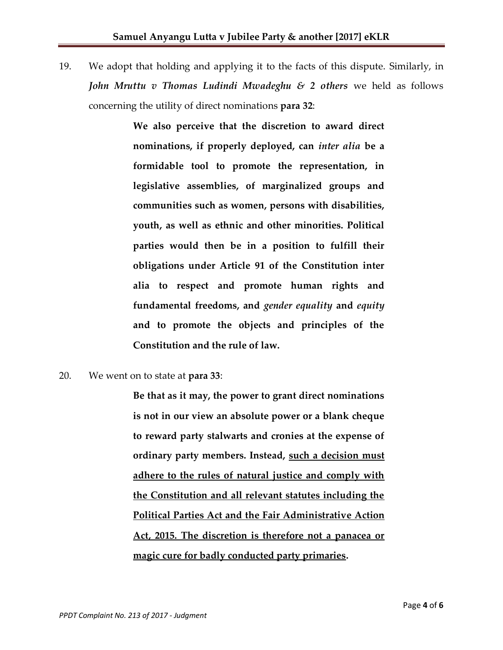19. We adopt that holding and applying it to the facts of this dispute. Similarly, in *John Mruttu v Thomas Ludindi Mwadeghu & 2 others* we held as follows concerning the utility of direct nominations **para 32**:

> **We also perceive that the discretion to award direct nominations, if properly deployed, can** *inter alia* **be a formidable tool to promote the representation, in legislative assemblies, of marginalized groups and communities such as women, persons with disabilities, youth, as well as ethnic and other minorities. Political parties would then be in a position to fulfill their obligations under Article 91 of the Constitution inter alia to respect and promote human rights and fundamental freedoms, and** *gender equality* **and** *equity* **and to promote the objects and principles of the Constitution and the rule of law.**

20. We went on to state at **para 33**:

**Be that as it may, the power to grant direct nominations is not in our view an absolute power or a blank cheque to reward party stalwarts and cronies at the expense of ordinary party members. Instead, such a decision must adhere to the rules of natural justice and comply with the Constitution and all relevant statutes including the Political Parties Act and the Fair Administrative Action Act, 2015. The discretion is therefore not a panacea or magic cure for badly conducted party primaries.**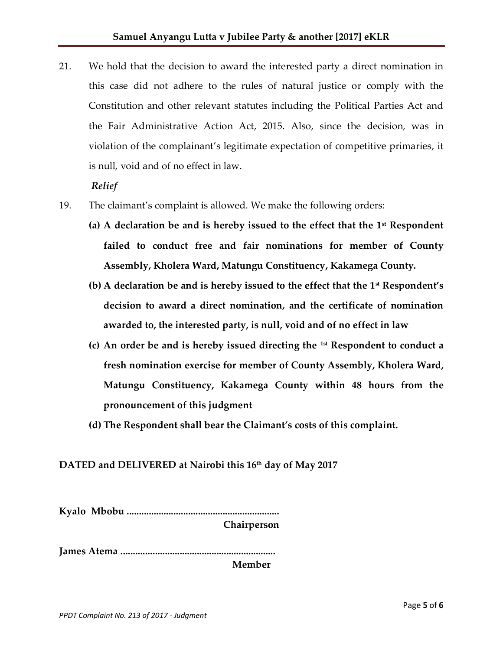21. We hold that the decision to award the interested party a direct nomination in this case did not adhere to the rules of natural justice or comply with the Constitution and other relevant statutes including the Political Parties Act and the Fair Administrative Action Act, 2015. Also, since the decision, was in violation of the complainant's legitimate expectation of competitive primaries, it is null, void and of no effect in law.

*Relief*

- 19. The claimant's complaint is allowed. We make the following orders:
	- **(a) A declaration be and is hereby issued to the effect that the 1st Respondent failed to conduct free and fair nominations for member of County Assembly, Kholera Ward, Matungu Constituency, Kakamega County.**
	- **(b) A declaration be and is hereby issued to the effect that the 1st Respondent's decision to award a direct nomination, and the certificate of nomination awarded to, the interested party, is null, void and of no effect in law**
	- **(c) An order be and is hereby issued directing the 1st Respondent to conduct a fresh nomination exercise for member of County Assembly, Kholera Ward, Matungu Constituency, Kakamega County within 48 hours from the pronouncement of this judgment**
	- **(d) The Respondent shall bear the Claimant's costs of this complaint.**

### **DATED and DELIVERED at Nairobi this 16 th day of May 2017**

**Kyalo Mbobu ..............................................................**

**Chairperson**

**James Atema ...............................................................**

**Member**